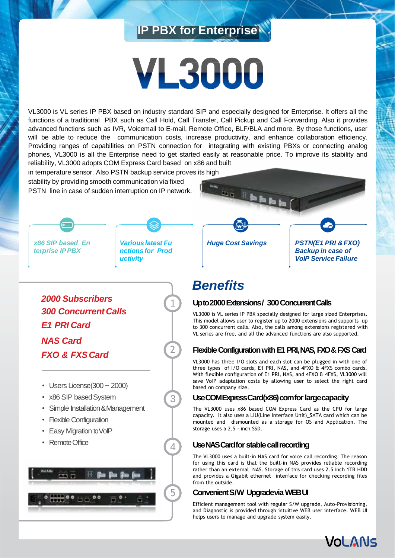# **IP PBX for Enterprise**

# **VL3000**

VL3000 is VL series IP PBX based on industry standard SIP and especially designed for Enterprise. It offers all the functions of a traditional PBX such as Call Hold, Call Transfer, Call Pickup and Call Forwarding. Also it provides advanced functions such as IVR, Voicemail to E-mail, Remote Office, BLF/BLA and more. By those functions, user will be able to reduce the communication costs, increase productivity, and enhance collaboration efficiency. Providing ranges of capabilities on PSTN connection for integrating with existing PBXs or connecting analog phones, VL3000 is all the Enterprise need to get started easily at reasonable price. To improve its stability and reliability, VL3000 adopts COM Express Card based on x86 and built

in temperature sensor. Also PSTN backup service proves its high

stability by providing smooth communication via fixed PSTN line in case of sudden interruption on IP network.





1

2

3

4

*2000 Subscribers 300 ConcurrentCalls E1 PRI Card NAS Card FXO & FXSCard*

- $\cdot$  Users License(300  $\sim$  2000)
- x86 SIP based System
- Simple Installation & Management
- Flexible Configuration
- Easy Migration toVoIP
- Remote Office



ta a **Hill Bo Bo B** *Huge Cost Savings PSTN(E1 PRI & FXO) Backup in case of VoIP Service Failure*

# *Benefits*

# Upto 2000 Extensions / 300 Concurrent Calls

VL3000 is VL series IP PBX specially designed for large sized Enterprises. This model allows user to register up to 2000 extensions and supports up to 300 concurrent calls. Also, the calls among extensions registered with VL series are free, and all the advanced functions are also supported.

# **Flexible Configuration with E1 PRI, NAS, FXO & FXS Card**

VL3000 has three I/O slots and each slot can be plugged in with one of three types of I/O cards, E1 PRI, NAS, and 4FXO & 4FXS combo cards. With flexible configuration of E1 PRI, NAS, and 4FXO & 4FXS, VL3000 will save VoIP adaptation costs by allowing user to select the right card based on company size.

# **Use COM ExpressCard(x86) com for largecapacity**

The VL3000 uses x86 based COM Express Card as the CPU for large capacity. It also uses a LIU(Line Interface Unit)\_SATA card which can be mounted and dismounted as a storage for OS and Application. The storage uses a 2.5 - inch SSD.

# **Use NAS Card for stable callrecording**

The VL3000 uses a built-in NAS card for voice call recording. The reason for using this card is that the built-in NAS provides reliable recording rather than an external NAS. Storage of this card uses 2.5 inch 1TB HDD and provides a Gigabit ethernet interface for checking recording files from the outside.

# **Convenient S/W Upgrade via WEB UI**

Efficient management tool with regular S/W upgrade, Auto-Provisioning, and Diagnostic is provided through intuitive WEB user interface. WEB UI helps users to manage and upgrade system easily.